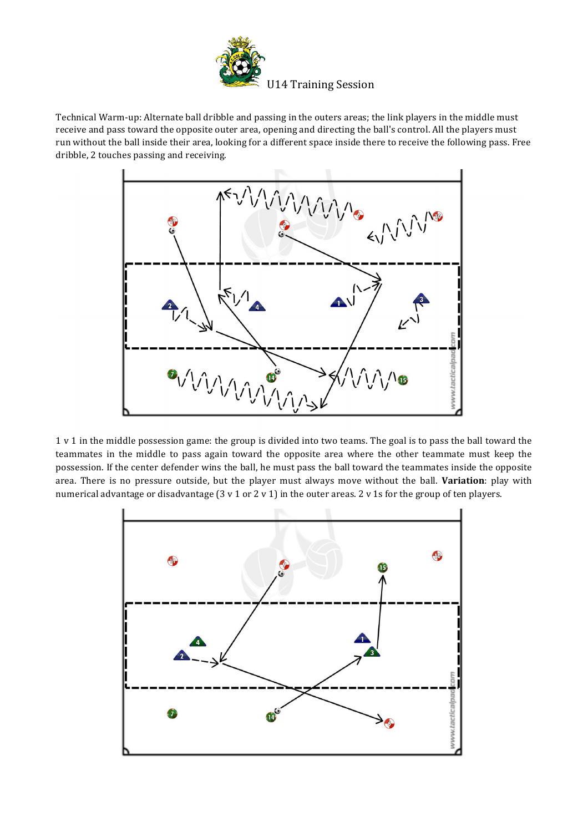

Technical Warm-up: Alternate ball dribble and passing in the outers areas; the link players in the middle must receive and pass toward the opposite outer area, opening and directing the ball's control. All the players must run without the ball inside their area, looking for a different space inside there to receive the following pass. Free dribble, 2 touches passing and receiving.



1 v 1 in the middle possession game: the group is divided into two teams. The goal is to pass the ball toward the teammates in the middle to pass again toward the opposite area where the other teammate must keep the possession. If the center defender wins the ball, he must pass the ball toward the teammates inside the opposite area. There is no pressure outside, but the player must always move without the ball. Variation: play with numerical advantage or disadvantage (3 v 1 or 2 v 1) in the outer areas. 2 v 1s for the group of ten players.